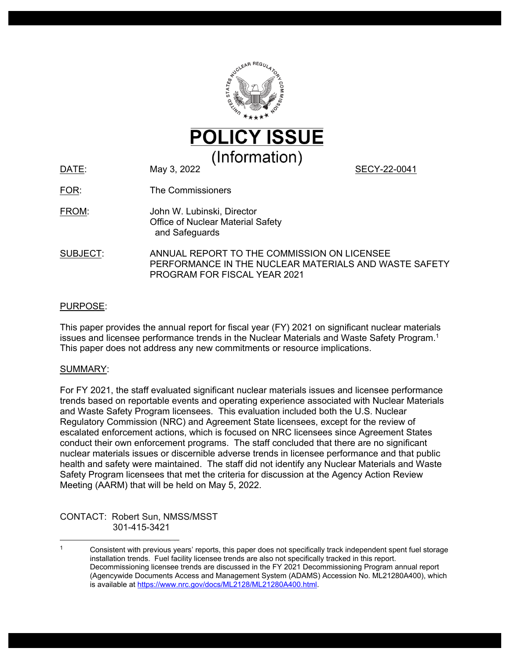

DATE: May 3, 2022 May 3, 2022 May 3, 2022 May 3, 2022 SECY-22-0041

FOR: The Commissioners

- FROM: John W. Lubinski, Director Office of Nuclear Material Safety and Safeguards
- SUBJECT: ANNUAL REPORT TO THE COMMISSION ON LICENSEE PERFORMANCE IN THE NUCLEAR MATERIALS AND WASTE SAFETY PROGRAM FOR FISCAL YEAR 2021

### PURPOSE:

This paper provides the annual report for fiscal year (FY) 2021 on significant nuclear materials issues and licensee performance trends in the Nuclear Materials and Waste Safety Program.<sup>1</sup> This paper does not address any new commitments or resource implications.

#### SUMMARY:

For FY 2021, the staff evaluated significant nuclear materials issues and licensee performance trends based on reportable events and operating experience associated with Nuclear Materials and Waste Safety Program licensees. This evaluation included both the U.S. Nuclear Regulatory Commission (NRC) and Agreement State licensees, except for the review of escalated enforcement actions, which is focused on NRC licensees since Agreement States conduct their own enforcement programs. The staff concluded that there are no significant nuclear materials issues or discernible adverse trends in licensee performance and that public health and safety were maintained. The staff did not identify any Nuclear Materials and Waste Safety Program licensees that met the criteria for discussion at the Agency Action Review Meeting (AARM) that will be held on May 5, 2022.

CONTACT: Robert Sun, NMSS/MSST 301-415-3421

<sup>&</sup>lt;sup>1</sup> Consistent with previous years' reports, this paper does not specifically track independent spent fuel storage installation trends. Fuel facility licensee trends are also not specifically tracked in this report. Decommissioning licensee trends are discussed in the FY 2021 Decommissioning Program annual report (Agencywide Documents Access and Management System (ADAMS) Accession No. ML21280A400), which is available at [https://www.nrc.gov/docs/ML2128/ML21280A400.html.](https://www.nrc.gov/docs/ML2128/ML21280A400.html)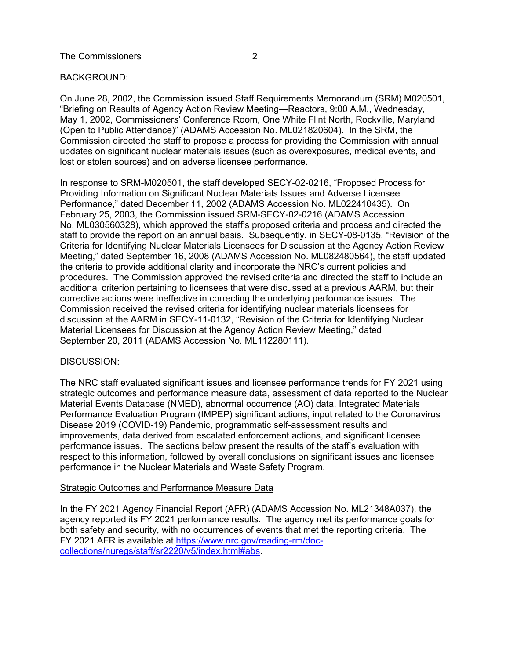# BACKGROUND:

On June 28, 2002, the Commission issued Staff Requirements Memorandum (SRM) M020501, "Briefing on Results of Agency Action Review Meeting—Reactors, 9:00 A.M., Wednesday, May 1, 2002, Commissioners' Conference Room, One White Flint North, Rockville, Maryland (Open to Public Attendance)" (ADAMS Accession No. ML021820604). In the SRM, the Commission directed the staff to propose a process for providing the Commission with annual updates on significant nuclear materials issues (such as overexposures, medical events, and lost or stolen sources) and on adverse licensee performance.

In response to SRM-M020501, the staff developed SECY-02-0216, "Proposed Process for Providing Information on Significant Nuclear Materials Issues and Adverse Licensee Performance," dated December 11, 2002 (ADAMS Accession No. ML022410435). On February 25, 2003, the Commission issued SRM-SECY-02-0216 (ADAMS Accession No. ML030560328), which approved the staff's proposed criteria and process and directed the staff to provide the report on an annual basis. Subsequently, in SECY-08-0135, "Revision of the Criteria for Identifying Nuclear Materials Licensees for Discussion at the Agency Action Review Meeting," dated September 16, 2008 (ADAMS Accession No. ML082480564), the staff updated the criteria to provide additional clarity and incorporate the NRC's current policies and procedures. The Commission approved the revised criteria and directed the staff to include an additional criterion pertaining to licensees that were discussed at a previous AARM, but their corrective actions were ineffective in correcting the underlying performance issues. The Commission received the revised criteria for identifying nuclear materials licensees for discussion at the AARM in SECY-11-0132, "Revision of the Criteria for Identifying Nuclear Material Licensees for Discussion at the Agency Action Review Meeting," dated September 20, 2011 (ADAMS Accession No. ML112280111).

#### DISCUSSION:

The NRC staff evaluated significant issues and licensee performance trends for FY 2021 using strategic outcomes and performance measure data, assessment of data reported to the Nuclear Material Events Database (NMED), abnormal occurrence (AO) data, Integrated Materials Performance Evaluation Program (IMPEP) significant actions, input related to the Coronavirus Disease 2019 (COVID-19) Pandemic, programmatic self-assessment results and improvements, data derived from escalated enforcement actions, and significant licensee performance issues. The sections below present the results of the staff's evaluation with respect to this information, followed by overall conclusions on significant issues and licensee performance in the Nuclear Materials and Waste Safety Program.

#### Strategic Outcomes and Performance Measure Data

In the FY 2021 Agency Financial Report (AFR) (ADAMS Accession No. ML21348A037), the agency reported its FY 2021 performance results. The agency met its performance goals for both safety and security, with no occurrences of events that met the reporting criteria. The FY 2021 AFR is available at [https://www.nrc.gov/reading-rm/doc](https://www.nrc.gov/reading-rm/doc-collections/nuregs/staff/sr2220/v5/index.html#abs)[collections/nuregs/staff/sr2220/v5/index.html#abs](https://www.nrc.gov/reading-rm/doc-collections/nuregs/staff/sr2220/v5/index.html#abs).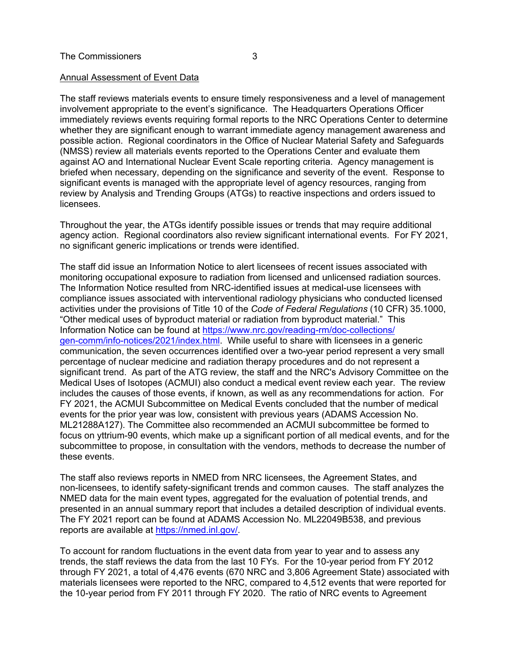#### Annual Assessment of Event Data

The staff reviews materials events to ensure timely responsiveness and a level of management involvement appropriate to the event's significance. The Headquarters Operations Officer immediately reviews events requiring formal reports to the NRC Operations Center to determine whether they are significant enough to warrant immediate agency management awareness and possible action. Regional coordinators in the Office of Nuclear Material Safety and Safeguards (NMSS) review all materials events reported to the Operations Center and evaluate them against AO and International Nuclear Event Scale reporting criteria. Agency management is briefed when necessary, depending on the significance and severity of the event. Response to significant events is managed with the appropriate level of agency resources, ranging from review by Analysis and Trending Groups (ATGs) to reactive inspections and orders issued to licensees.

Throughout the year, the ATGs identify possible issues or trends that may require additional agency action. Regional coordinators also review significant international events. For FY 2021, no significant generic implications or trends were identified.

The staff did issue an Information Notice to alert licensees of recent issues associated with monitoring occupational exposure to radiation from licensed and unlicensed radiation sources. The Information Notice resulted from NRC-identified issues at medical-use licensees with compliance issues associated with interventional radiology physicians who conducted licensed activities under the provisions of Title 10 of the *Code of Federal Regulations* (10 CFR) 35.1000, "Other medical uses of byproduct material or radiation from byproduct material." This Information Notice can be found at [https://www.nrc.gov/reading-rm/doc-collections/](https://www.nrc.gov/reading-rm/doc-collections/gen-comm/info-notices/2021/index.html) [gen-comm/info-notices/2021/index.html.](https://www.nrc.gov/reading-rm/doc-collections/gen-comm/info-notices/2021/index.html) While useful to share with licensees in a generic communication, the seven occurrences identified over a two-year period represent a very small percentage of nuclear medicine and radiation therapy procedures and do not represent a significant trend. As part of the ATG review, the staff and the NRC's Advisory Committee on the Medical Uses of Isotopes (ACMUI) also conduct a medical event review each year. The review includes the causes of those events, if known, as well as any recommendations for action. For FY 2021, the ACMUI Subcommittee on Medical Events concluded that the number of medical events for the prior year was low, consistent with previous years (ADAMS Accession No. ML21288A127). The Committee also recommended an ACMUI subcommittee be formed to focus on yttrium-90 events, which make up a significant portion of all medical events, and for the subcommittee to propose, in consultation with the vendors, methods to decrease the number of these events.

The staff also reviews reports in NMED from NRC licensees, the Agreement States, and non-licensees, to identify safety-significant trends and common causes. The staff analyzes the NMED data for the main event types, aggregated for the evaluation of potential trends, and presented in an annual summary report that includes a detailed description of individual events. The FY 2021 report can be found at ADAMS Accession No. ML22049B538, and previous reports are available at <https://nmed.inl.gov/>.

To account for random fluctuations in the event data from year to year and to assess any trends, the staff reviews the data from the last 10 FYs. For the 10-year period from FY 2012 through FY 2021, a total of 4,476 events (670 NRC and 3,806 Agreement State) associated with materials licensees were reported to the NRC, compared to 4,512 events that were reported for the 10-year period from FY 2011 through FY 2020. The ratio of NRC events to Agreement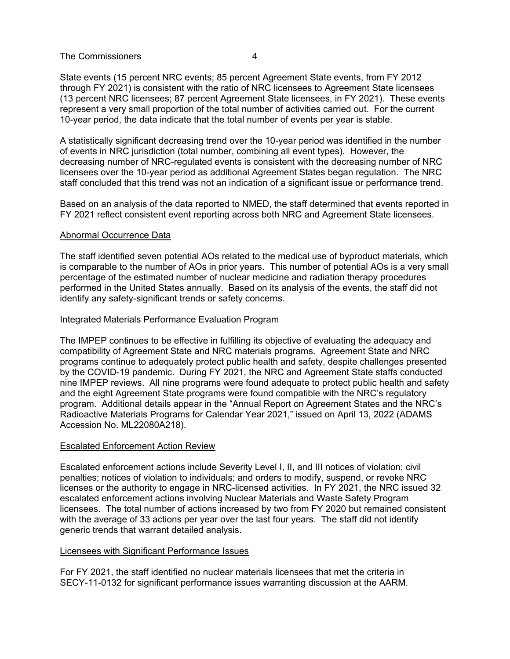#### The Commissioners **4**

State events (15 percent NRC events; 85 percent Agreement State events, from FY 2012 through FY 2021) is consistent with the ratio of NRC licensees to Agreement State licensees (13 percent NRC licensees; 87 percent Agreement State licensees, in FY 2021). These events represent a very small proportion of the total number of activities carried out. For the current 10-year period, the data indicate that the total number of events per year is stable.

A statistically significant decreasing trend over the 10-year period was identified in the number of events in NRC jurisdiction (total number, combining all event types). However, the decreasing number of NRC-regulated events is consistent with the decreasing number of NRC licensees over the 10-year period as additional Agreement States began regulation. The NRC staff concluded that this trend was not an indication of a significant issue or performance trend.

Based on an analysis of the data reported to NMED, the staff determined that events reported in FY 2021 reflect consistent event reporting across both NRC and Agreement State licensees.

#### Abnormal Occurrence Data

The staff identified seven potential AOs related to the medical use of byproduct materials, which is comparable to the number of AOs in prior years. This number of potential AOs is a very small percentage of the estimated number of nuclear medicine and radiation therapy procedures performed in the United States annually. Based on its analysis of the events, the staff did not identify any safety-significant trends or safety concerns.

#### Integrated Materials Performance Evaluation Program

The IMPEP continues to be effective in fulfilling its objective of evaluating the adequacy and compatibility of Agreement State and NRC materials programs. Agreement State and NRC programs continue to adequately protect public health and safety, despite challenges presented by the COVID-19 pandemic. During FY 2021, the NRC and Agreement State staffs conducted nine IMPEP reviews. All nine programs were found adequate to protect public health and safety and the eight Agreement State programs were found compatible with the NRC's regulatory program. Additional details appear in the "Annual Report on Agreement States and the NRC's Radioactive Materials Programs for Calendar Year 2021," issued on April 13, 2022 (ADAMS Accession No. ML22080A218).

#### Escalated Enforcement Action Review

Escalated enforcement actions include Severity Level I, II, and III notices of violation; civil penalties; notices of violation to individuals; and orders to modify, suspend, or revoke NRC licenses or the authority to engage in NRC-licensed activities. In FY 2021, the NRC issued 32 escalated enforcement actions involving Nuclear Materials and Waste Safety Program licensees. The total number of actions increased by two from FY 2020 but remained consistent with the average of 33 actions per year over the last four years. The staff did not identify generic trends that warrant detailed analysis.

#### Licensees with Significant Performance Issues

For FY 2021, the staff identified no nuclear materials licensees that met the criteria in SECY-11-0132 for significant performance issues warranting discussion at the AARM.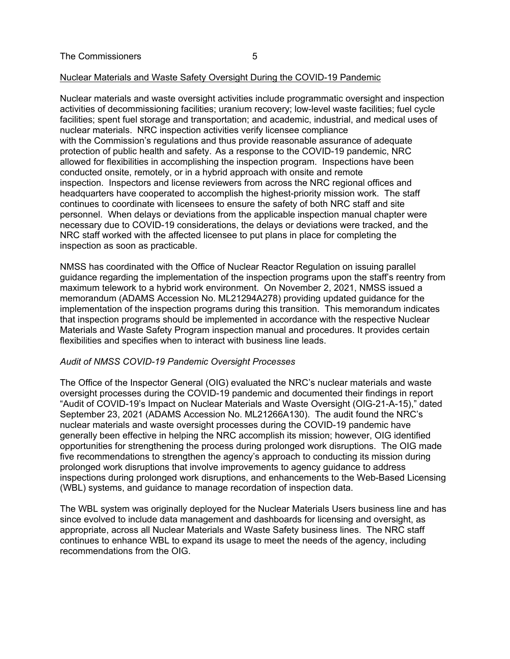#### Nuclear Materials and Waste Safety Oversight During the COVID-19 Pandemic

Nuclear materials and waste oversight activities include programmatic oversight and inspection activities of decommissioning facilities; uranium recovery; low-level waste facilities; fuel cycle facilities; spent fuel storage and transportation; and academic, industrial, and medical uses of nuclear materials. NRC inspection activities verify licensee compliance with the Commission's regulations and thus provide reasonable assurance of adequate protection of public health and safety. As a response to the COVID-19 pandemic, NRC allowed for flexibilities in accomplishing the inspection program. Inspections have been conducted onsite, remotely, or in a hybrid approach with onsite and remote inspection. Inspectors and license reviewers from across the NRC regional offices and headquarters have cooperated to accomplish the highest-priority mission work. The staff continues to coordinate with licensees to ensure the safety of both NRC staff and site personnel. When delays or deviations from the applicable inspection manual chapter were necessary due to COVID-19 considerations, the delays or deviations were tracked, and the NRC staff worked with the affected licensee to put plans in place for completing the inspection as soon as practicable.

NMSS has coordinated with the Office of Nuclear Reactor Regulation on issuing parallel guidance regarding the implementation of the inspection programs upon the staff's reentry from maximum telework to a hybrid work environment. On November 2, 2021, NMSS issued a memorandum (ADAMS Accession No. ML21294A278) providing updated guidance for the implementation of the inspection programs during this transition. This memorandum indicates that inspection programs should be implemented in accordance with the respective Nuclear Materials and Waste Safety Program inspection manual and procedures. It provides certain flexibilities and specifies when to interact with business line leads.

#### *Audit of NMSS COVID-19 Pandemic Oversight Processes*

The Office of the Inspector General (OIG) evaluated the NRC's nuclear materials and waste oversight processes during the COVID-19 pandemic and documented their findings in report "Audit of COVID-19's Impact on Nuclear Materials and Waste Oversight [\(OIG-21-A-15](https://www.nrc.gov/docs/ML2126/ML21266A130.pdf))," dated September 23, 2021 (ADAMS Accession No. ML21266A130). The audit found the NRC's nuclear materials and waste oversight processes during the COVID-19 pandemic have generally been effective in helping the NRC accomplish its mission; however, OIG identified opportunities for strengthening the process during prolonged work disruptions. The OIG made five recommendations to strengthen the agency's approach to conducting its mission during prolonged work disruptions that involve improvements to agency guidance to address inspections during prolonged work disruptions, and enhancements to the Web-Based Licensing (WBL) systems, and guidance to manage recordation of inspection data.

The WBL system was originally deployed for the Nuclear Materials Users business line and has since evolved to include data management and dashboards for licensing and oversight, as appropriate, across all Nuclear Materials and Waste Safety business lines. The NRC staff continues to enhance WBL to expand its usage to meet the needs of the agency, including recommendations from the OIG.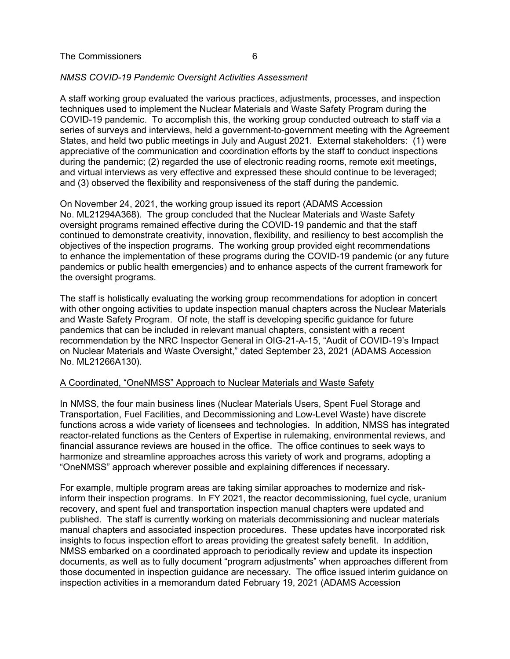#### *NMSS COVID-19 Pandemic Oversight Activities Assessment*

A staff working group evaluated the various practices, adjustments, processes, and inspection techniques used to implement the Nuclear Materials and Waste Safety Program during the COVID-19 pandemic. To accomplish this, the working group conducted outreach to staff via a series of surveys and interviews, held a government-to-government meeting with the Agreement States, and held two public meetings in July and August 2021. External stakeholders: (1) were appreciative of the communication and coordination efforts by the staff to conduct inspections during the pandemic; (2) regarded the use of electronic reading rooms, remote exit meetings, and virtual interviews as very effective and expressed these should continue to be leveraged; and (3) observed the flexibility and responsiveness of the staff during the pandemic.

On November 24, 2021, the working group issued its report (ADAMS Accession No. ML21294A368). The group concluded that the Nuclear Materials and Waste Safety oversight programs remained effective during the COVID-19 pandemic and that the staff continued to demonstrate creativity, innovation, flexibility, and resiliency to best accomplish the objectives of the inspection programs. The working group provided eight recommendations to enhance the implementation of these programs during the COVID-19 pandemic (or any future pandemics or public health emergencies) and to enhance aspects of the current framework for the oversight programs.

The staff is holistically evaluating the working group recommendations for adoption in concert with other ongoing activities to update inspection manual chapters across the Nuclear Materials and Waste Safety Program. Of note, the staff is developing specific guidance for future pandemics that can be included in relevant manual chapters, consistent with a recent recommendation by the NRC Inspector General in OIG-21-A-15, "Audit of COVID-19's Impact on Nuclear Materials and Waste Oversight," dated September 23, 2021 (ADAMS Accession No. ML21266A130).

#### A Coordinated, "OneNMSS" Approach to Nuclear Materials and Waste Safety

In NMSS, the four main business lines (Nuclear Materials Users, Spent Fuel Storage and Transportation, Fuel Facilities, and Decommissioning and Low-Level Waste) have discrete functions across a wide variety of licensees and technologies. In addition, NMSS has integrated reactor-related functions as the Centers of Expertise in rulemaking, environmental reviews, and financial assurance reviews are housed in the office. The office continues to seek ways to harmonize and streamline approaches across this variety of work and programs, adopting a "OneNMSS" approach wherever possible and explaining differences if necessary.

For example, multiple program areas are taking similar approaches to modernize and riskinform their inspection programs. In FY 2021, the reactor decommissioning, fuel cycle, uranium recovery, and spent fuel and transportation inspection manual chapters were updated and published. The staff is currently working on materials decommissioning and nuclear materials manual chapters and associated inspection procedures. These updates have incorporated risk insights to focus inspection effort to areas providing the greatest safety benefit. In addition, NMSS embarked on a coordinated approach to periodically review and update its inspection documents, as well as to fully document "program adjustments" when approaches different from those documented in inspection guidance are necessary. The office issued interim guidance on inspection activities in a memorandum dated February 19, 2021 (ADAMS Accession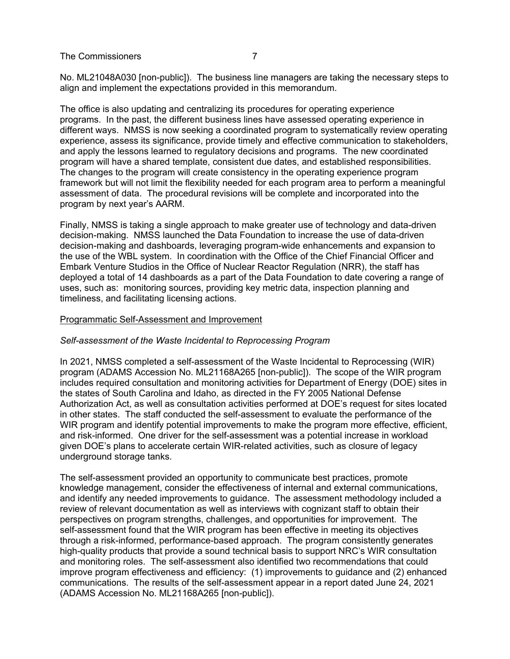The Commissioners 7

No. ML21048A030 [non-public]). The business line managers are taking the necessary steps to align and implement the expectations provided in this memorandum.

The office is also updating and centralizing its procedures for operating experience programs. In the past, the different business lines have assessed operating experience in different ways. NMSS is now seeking a coordinated program to systematically review operating experience, assess its significance, provide timely and effective communication to stakeholders, and apply the lessons learned to regulatory decisions and programs. The new coordinated program will have a shared template, consistent due dates, and established responsibilities. The changes to the program will create consistency in the operating experience program framework but will not limit the flexibility needed for each program area to perform a meaningful assessment of data. The procedural revisions will be complete and incorporated into the program by next year's AARM.

Finally, NMSS is taking a single approach to make greater use of technology and data-driven decision-making. NMSS launched the Data Foundation to increase the use of data-driven decision-making and dashboards, leveraging program-wide enhancements and expansion to the use of the WBL system. In coordination with the Office of the Chief Financial Officer and Embark Venture Studios in the Office of Nuclear Reactor Regulation (NRR), the staff has deployed a total of 14 dashboards as a part of the Data Foundation to date covering a range of uses, such as: monitoring sources, providing key metric data, inspection planning and timeliness, and facilitating licensing actions.

#### Programmatic Self-Assessment and Improvement

#### *Self-assessment of the Waste Incidental to Reprocessing Program*

In 2021, NMSS completed a self-assessment of the Waste Incidental to Reprocessing (WIR) program (ADAMS Accession No. ML21168A265 [non-public]). The scope of the WIR program includes required consultation and monitoring activities for Department of Energy (DOE) sites in the states of South Carolina and Idaho, as directed in the FY 2005 National Defense Authorization Act, as well as consultation activities performed at DOE's request for sites located in other states. The staff conducted the self-assessment to evaluate the performance of the WIR program and identify potential improvements to make the program more effective, efficient, and risk-informed. One driver for the self-assessment was a potential increase in workload given DOE's plans to accelerate certain WIR-related activities, such as closure of legacy underground storage tanks.

The self-assessment provided an opportunity to communicate best practices, promote knowledge management, consider the effectiveness of internal and external communications, and identify any needed improvements to guidance. The assessment methodology included a review of relevant documentation as well as interviews with cognizant staff to obtain their perspectives on program strengths, challenges, and opportunities for improvement. The self-assessment found that the WIR program has been effective in meeting its objectives through a risk-informed, performance-based approach. The program consistently generates high-quality products that provide a sound technical basis to support NRC's WIR consultation and monitoring roles. The self-assessment also identified two recommendations that could improve program effectiveness and efficiency: (1) improvements to guidance and (2) enhanced communications. The results of the self-assessment appear in a report dated June 24, 2021 (ADAMS Accession No. ML21168A265 [non-public]).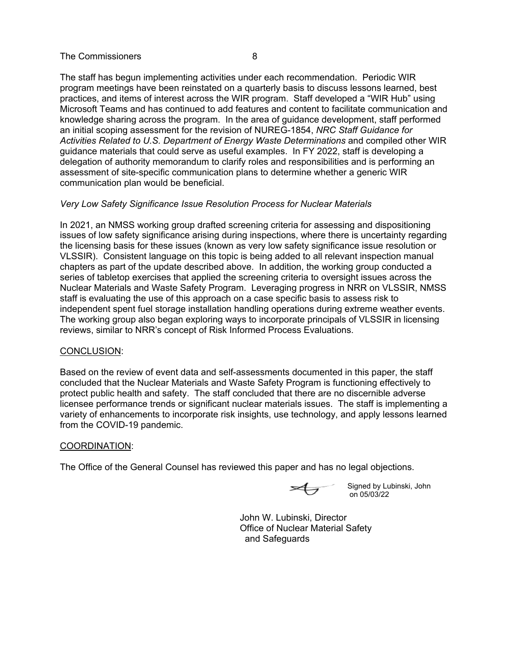#### The Commissioners and a series of the Commissioners and a series of the series of the series of the series of the series of the series of the series of the series of the series of the series of the series of the series of

The staff has begun implementing activities under each recommendation. Periodic WIR program meetings have been reinstated on a quarterly basis to discuss lessons learned, best practices, and items of interest across the WIR program. Staff developed a "WIR Hub" using Microsoft Teams and has continued to add features and content to facilitate communication and knowledge sharing across the program. In the area of guidance development, staff performed an initial scoping assessment for the revision of NUREG-1854, *NRC Staff Guidance for Activities Related to U.S. Department of Energy Waste Determinations* and compiled other WIR guidance materials that could serve as useful examples. In FY 2022, staff is developing a delegation of authority memorandum to clarify roles and responsibilities and is performing an assessment of site-specific communication plans to determine whether a generic WIR communication plan would be beneficial.

### *Very Low Safety Significance Issue Resolution Process for Nuclear Materials*

In 2021, an NMSS working group drafted screening criteria for assessing and dispositioning issues of low safety significance arising during inspections, where there is uncertainty regarding the licensing basis for these issues (known as very low safety significance issue resolution or VLSSIR). Consistent language on this topic is being added to all relevant inspection manual chapters as part of the update described above. In addition, the working group conducted a series of tabletop exercises that applied the screening criteria to oversight issues across the Nuclear Materials and Waste Safety Program. Leveraging progress in NRR on VLSSIR, NMSS staff is evaluating the use of this approach on a case specific basis to assess risk to independent spent fuel storage installation handling operations during extreme weather events. The working group also began exploring ways to incorporate principals of VLSSIR in licensing reviews, similar to NRR's concept of Risk Informed Process Evaluations.

#### CONCLUSION:

Based on the review of event data and self-assessments documented in this paper, the staff concluded that the Nuclear Materials and Waste Safety Program is functioning effectively to protect public health and safety. The staff concluded that there are no discernible adverse licensee performance trends or significant nuclear materials issues. The staff is implementing a variety of enhancements to incorporate risk insights, use technology, and apply lessons learned from the COVID-19 pandemic.

#### COORDINATION:

The Office of the General Counsel has reviewed this paper and has no legal objections.

Signed by Lubinski, John on 05/03/22

John W. Lubinski, Director Office of Nuclear Material Safety and Safeguards